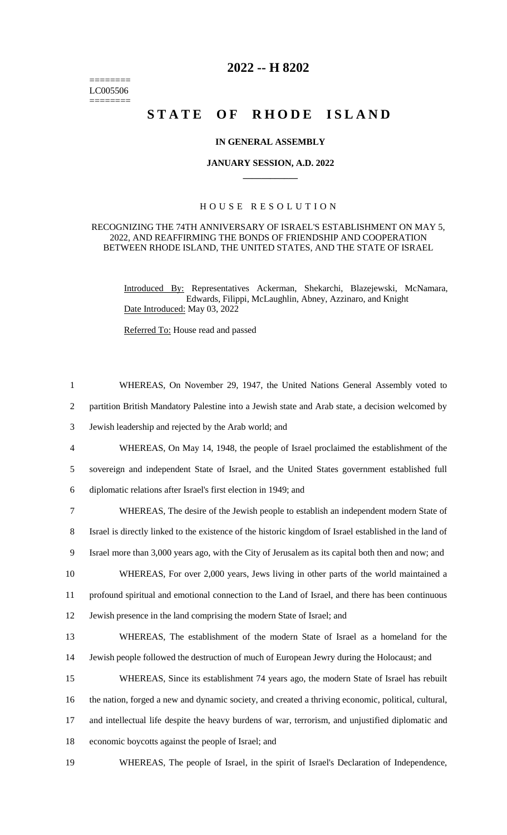======== LC005506  $=$ 

## **2022 -- H 8202**

# **STATE OF RHODE ISLAND**

#### **IN GENERAL ASSEMBLY**

#### **JANUARY SESSION, A.D. 2022 \_\_\_\_\_\_\_\_\_\_\_\_**

### H O U S E R E S O L U T I O N

#### RECOGNIZING THE 74TH ANNIVERSARY OF ISRAEL'S ESTABLISHMENT ON MAY 5, 2022, AND REAFFIRMING THE BONDS OF FRIENDSHIP AND COOPERATION BETWEEN RHODE ISLAND, THE UNITED STATES, AND THE STATE OF ISRAEL

Introduced By: Representatives Ackerman, Shekarchi, Blazejewski, McNamara, Edwards, Filippi, McLaughlin, Abney, Azzinaro, and Knight Date Introduced: May 03, 2022

Referred To: House read and passed

| $\mathbf{1}$   | WHEREAS, On November 29, 1947, the United Nations General Assembly voted to                             |
|----------------|---------------------------------------------------------------------------------------------------------|
| 2              | partition British Mandatory Palestine into a Jewish state and Arab state, a decision welcomed by        |
| 3              | Jewish leadership and rejected by the Arab world; and                                                   |
| $\overline{4}$ | WHEREAS, On May 14, 1948, the people of Israel proclaimed the establishment of the                      |
| 5              | sovereign and independent State of Israel, and the United States government established full            |
| 6              | diplomatic relations after Israel's first election in 1949; and                                         |
| $\tau$         | WHEREAS, The desire of the Jewish people to establish an independent modern State of                    |
| 8              | Israel is directly linked to the existence of the historic kingdom of Israel established in the land of |
| 9              | Israel more than 3,000 years ago, with the City of Jerusalem as its capital both then and now; and      |
| 10             | WHEREAS, For over 2,000 years, Jews living in other parts of the world maintained a                     |
| 11             | profound spiritual and emotional connection to the Land of Israel, and there has been continuous        |
| 12             | Jewish presence in the land comprising the modern State of Israel; and                                  |
| 13             | WHEREAS, The establishment of the modern State of Israel as a homeland for the                          |
| 14             | Jewish people followed the destruction of much of European Jewry during the Holocaust; and              |
| 15             | WHEREAS, Since its establishment 74 years ago, the modern State of Israel has rebuilt                   |
| 16             | the nation, forged a new and dynamic society, and created a thriving economic, political, cultural,     |
| 17             | and intellectual life despite the heavy burdens of war, terrorism, and unjustified diplomatic and       |
| 18             | economic boycotts against the people of Israel; and                                                     |
| 19             | WHEREAS, The people of Israel, in the spirit of Israel's Declaration of Independence,                   |